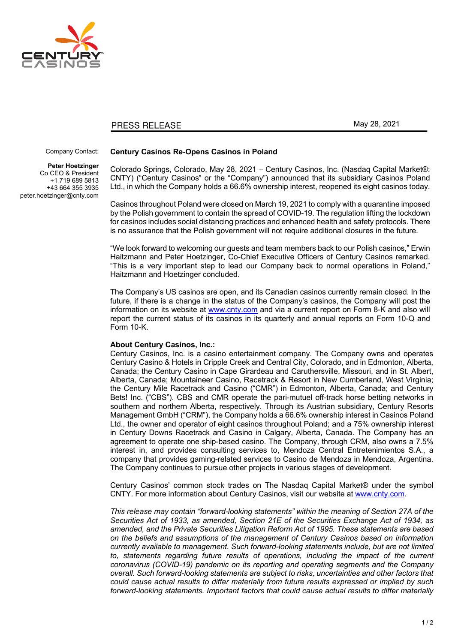

## PRESS RELEASE

May 28, 2021

## Company Contact:

**Peter Hoetzinger** Co CEO & President +1 719 689 5813 +43 664 355 3935 peter.hoetzinger@cnty.com

## **Century Casinos Re-Opens Casinos in Poland**

Colorado Springs, Colorado, May 28, 2021 – Century Casinos, Inc. (Nasdaq Capital Market®: CNTY) ("Century Casinos" or the "Company") announced that its subsidiary Casinos Poland Ltd., in which the Company holds a 66.6% ownership interest, reopened its eight casinos today.

Casinos throughout Poland were closed on March 19, 2021 to comply with a quarantine imposed by the Polish government to contain the spread of COVID-19. The regulation lifting the lockdown for casinos includes social distancing practices and enhanced health and safety protocols. There is no assurance that the Polish government will not require additional closures in the future.

"We look forward to welcoming our guests and team members back to our Polish casinos," Erwin Haitzmann and Peter Hoetzinger, Co-Chief Executive Officers of Century Casinos remarked. "This is a very important step to lead our Company back to normal operations in Poland," Haitzmann and Hoetzinger concluded.

The Company's US casinos are open, and its Canadian casinos currently remain closed. In the future, if there is a change in the status of the Company's casinos, the Company will post the information on its website at www.cnty.com and via a current report on Form 8-K and also will report the current status of its casinos in its quarterly and annual reports on Form 10-Q and Form 10-K.

## **About Century Casinos, Inc.:**

Century Casinos, Inc. is a casino entertainment company. The Company owns and operates Century Casino & Hotels in Cripple Creek and Central City, Colorado, and in Edmonton, Alberta, Canada; the Century Casino in Cape Girardeau and Caruthersville, Missouri, and in St. Albert, Alberta, Canada; Mountaineer Casino, Racetrack & Resort in New Cumberland, West Virginia; the Century Mile Racetrack and Casino ("CMR") in Edmonton, Alberta, Canada; and Century Bets! Inc. ("CBS"). CBS and CMR operate the pari-mutuel off-track horse betting networks in southern and northern Alberta, respectively. Through its Austrian subsidiary, Century Resorts Management GmbH ("CRM"), the Company holds a 66.6% ownership interest in Casinos Poland Ltd., the owner and operator of eight casinos throughout Poland; and a 75% ownership interest in Century Downs Racetrack and Casino in Calgary, Alberta, Canada. The Company has an agreement to operate one ship-based casino. The Company, through CRM, also owns a 7.5% interest in, and provides consulting services to, Mendoza Central Entretenimientos S.A., a company that provides gaming-related services to Casino de Mendoza in Mendoza, Argentina. The Company continues to pursue other projects in various stages of development.

Century Casinos' common stock trades on The Nasdaq Capital Market® under the symbol CNTY. For more information about Century Casinos, visit our website at www.cnty.com.

*This release may contain "forward-looking statements" within the meaning of Section 27A of the Securities Act of 1933, as amended, Section 21E of the Securities Exchange Act of 1934, as amended, and the Private Securities Litigation Reform Act of 1995. These statements are based on the beliefs and assumptions of the management of Century Casinos based on information currently available to management. Such forward-looking statements include, but are not limited*  to, statements regarding future results of operations, including the impact of the current *coronavirus (COVID-19) pandemic on its reporting and operating segments and the Company overall. Such forward-looking statements are subject to risks, uncertainties and other factors that could cause actual results to differ materially from future results expressed or implied by such forward-looking statements. Important factors that could cause actual results to differ materially*